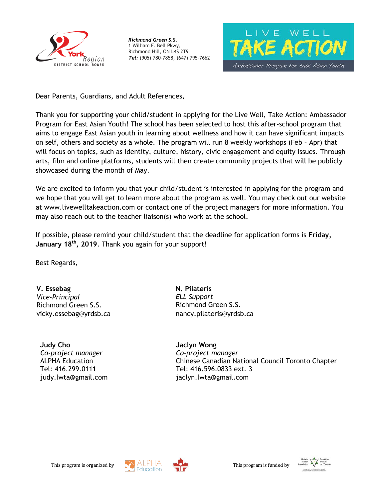



Dear Parents, Guardians, and Adult References,

Thank you for supporting your child/student in applying for the Live Well, Take Action: Ambassador Program for East Asian Youth! The school has been selected to host this after-school program that aims to engage East Asian youth in learning about wellness and how it can have significant impacts on self, others and society as a whole. The program will run 8 weekly workshops (Feb – Apr) that will focus on topics, such as identity, culture, history, civic engagement and equity issues. Through arts, film and online platforms, students will then create community projects that will be publicly showcased during the month of May.

We are excited to inform you that your child/student is interested in applying for the program and we hope that you will get to learn more about the program as well. You may check out our website at www.livewelltakeaction.com or contact one of the project managers for more information. You may also reach out to the teacher liaison(s) who work at the school.

If possible, please remind your child/student that the deadline for application forms is **Friday, January 18th, 2019**. Thank you again for your support!

Best Regards,

**V. Essebag** *Vice-Principal* Richmond Green S.S. vicky.essebag@yrdsb.ca

**Judy Cho** *Co-project manager* ALPHA Education Tel: 416.299.0111 judy.lwta@gmail.com **N. Pilateris** *ELL Support* Richmond Green S.S. nancy.pilateris@yrdsb.ca

**Jaclyn Wong** *Co-project manager* Chinese Canadian National Council Toronto Chapter Tel: 416.596.0833 ext. 3 jaclyn.lwta@gmail.com





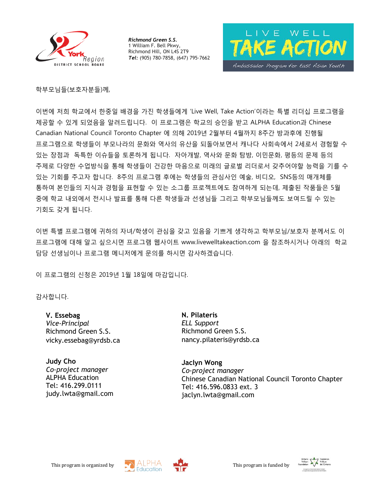



학부모님들(보호자분들)께,

이번에 저희 학교에서 한중일 배경을 가진 학생들에게 'Live Well, Take Action'이라는 특별 리더십 프로그램을 제공할 수 있게 되었음을 알려드립니다. 이 프로그램은 학교의 승인을 받고 ALPHA Education과 Chinese Canadian National Council Toronto Chapter 에 의해 2019년 2월부터 4월까지 8주간 방과후에 진행될 프로그램으로 학생들이 부모나라의 문화와 역사의 유산을 되돌아보면서 캐나다 사회속에서 2세로서 경험할 수 있는 장점과 독특한 이슈들을 토론하게 됩니다. 자아개발, 역사와 문화 탐방, 이민문화, 평등의 문제 등의 주제로 다양한 수업방식을 통해 학생들이 건강한 마음으로 미래의 글로벌 리더로서 갖추어야할 능력을 기를 수 있는 기회를 주고자 합니다. 8주의 프로그램 후에는 학생들의 관심사인 예술, 비디오, SNS등의 매개체를 통하여 본인들의 지식과 경험을 표현할 수 있는 소그룹 프로젝트에도 참여하게 되는데, 제출된 작품들은 5월 중에 학교 내외에서 전시나 발표를 통해 다른 학생들과 선생님들 그리고 학부모님들께도 보여드릴 수 있는 기회도 갖게 됩니다.

이번 특별 프로그램에 귀하의 자녀/학생이 관심을 갖고 있음을 기쁘게 생각하고 학부모님/보호자 분께서도 이 프로그램에 대해 알고 싶으시면 프로그램 웹사이트 www.livewelltakeaction.com 을 참조하시거나 아래의 학교 담당 선생님이나 프로그램 메니저에게 문의를 하시면 감사하겠습니다.

이 프로그램의 신청은 2019년 1월 18일에 마감입니다.

감사합니다.

**V. Essebag** *Vice-Principal* Richmond Green S.S. vicky.essebag@yrdsb.ca

**Judy Cho** *Co-project manager* ALPHA Education Tel: 416.299.0111 judy.lwta@gmail.com **N. Pilateris** *ELL Support* Richmond Green S.S. nancy.pilateris@yrdsb.ca

**Jaclyn Wong** *Co-project manager* Chinese Canadian National Council Toronto Chapter Tel: 416.596.0833 ext. 3 jaclyn.lwta@gmail.com





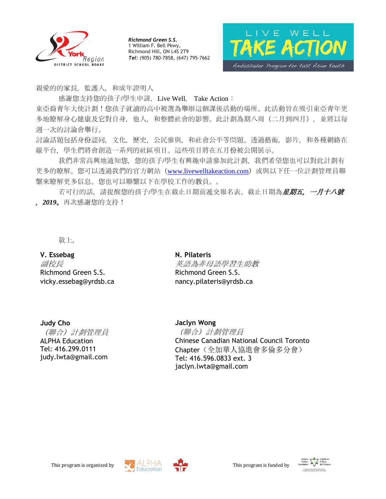



親愛的的家長,監護人,和成年證明人

感謝您支持您的孩子/學生申請, Live Well, Take Action: 東亞裔青年大使計劃!您孩子就讀的高中被選為舉辦這個課後活動的場所。此活動旨在吸引東亞青年更 多地瞭解身心健康及它對自身,他人,和整體社會的影響。此計劃為期八周(二月到四月),並將以每 週一次的討論會舉行。

討論話題包括身份認同,文化,歷史,公民參與,和社會公平等問題。透過藝術,影片,和各種網絡在 線平台,學生們將會創造一系列的社區項目。這些項目將在五月份被公開展示。

我們非常高興地通知您,您的孩子/學生有興趣申請參加此計劃,我們希望您也可以對此計劃有 更多的瞭解。您可以透過我們的官方網站 ([www.livewelltakeaction.com](http://www.livewelltakeaction.com/)) 或與以下任一位計劃管理員聯 繫來瞭解更多信息。您也可以聯繫以下在學校工作的教員。。

若可行的話,請提醒您的孩子/學生在截止日期前遞交報名表。截止日期為星期五,一月十八號 ,*2019*。再次感謝您的支持!

敬上,

## **V. Essebag**

副校長 Richmond Green S.S. vicky.essebag@yrdsb.ca

**N. Pilateris** 英語為非母語學習生助教 Richmond Green S.S. nancy.pilateris@yrdsb.ca

## **Judy Cho**

(聯合)計劃管理員 ALPHA Education Tel: 416.299.0111 judy.lwta@gmail.com

### **Jaclyn Wong**

(聯合)計劃管理員 Chinese Canadian National Council Toronto Chapter(全加華人協進會多倫多分會) Tel: 416.596.0833 ext. 3 jaclyn.lwta@gmail.com